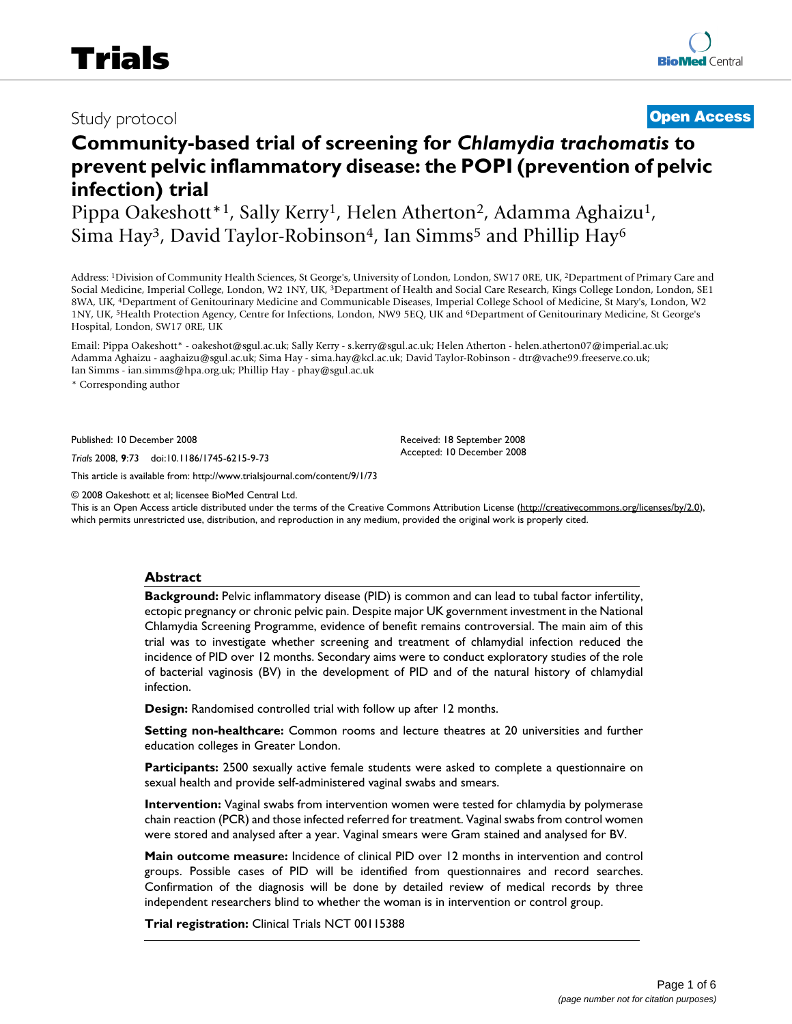# Study protocol **[Open Access](http://www.biomedcentral.com/info/about/charter/)**

# **Community-based trial of screening for** *Chlamydia trachomatis* **to prevent pelvic inflammatory disease: the POPI (prevention of pelvic infection) trial**

Pippa Oakeshott\*<sup>1</sup>, Sally Kerry<sup>1</sup>, Helen Atherton<sup>2</sup>, Adamma Aghaizu<sup>1</sup>, Sima Hay<sup>3</sup>, David Taylor-Robinson<sup>4</sup>, Ian Simms<sup>5</sup> and Phillip Hay<sup>6</sup>

Address: 1Division of Community Health Sciences, St George's, University of London, London, SW17 0RE, UK, 2Department of Primary Care and Social Medicine, Imperial College, London, W2 1NY, UK, 3Department of Health and Social Care Research, Kings College London, London, SE1 8WA, UK, 4Department of Genitourinary Medicine and Communicable Diseases, Imperial College School of Medicine, St Mary's, London, W2 1NY, UK, 5Health Protection Agency, Centre for Infections, London, NW9 5EQ, UK and 6Department of Genitourinary Medicine, St George's Hospital, London, SW17 0RE, UK

Email: Pippa Oakeshott\* - oakeshot@sgul.ac.uk; Sally Kerry - s.kerry@sgul.ac.uk; Helen Atherton - helen.atherton07@imperial.ac.uk; Adamma Aghaizu - aaghaizu@sgul.ac.uk; Sima Hay - sima.hay@kcl.ac.uk; David Taylor-Robinson - dtr@vache99.freeserve.co.uk; Ian Simms - ian.simms@hpa.org.uk; Phillip Hay - phay@sgul.ac.uk

\* Corresponding author

Published: 10 December 2008

*Trials* 2008, **9**:73 doi:10.1186/1745-6215-9-73

[This article is available from: http://www.trialsjournal.com/content/9/1/73](http://www.trialsjournal.com/content/9/1/73)

Received: 18 September 2008 Accepted: 10 December 2008

© 2008 Oakeshott et al; licensee BioMed Central Ltd.

This is an Open Access article distributed under the terms of the Creative Commons Attribution License [\(http://creativecommons.org/licenses/by/2.0\)](http://creativecommons.org/licenses/by/2.0), which permits unrestricted use, distribution, and reproduction in any medium, provided the original work is properly cited.

#### **Abstract**

**Background:** Pelvic inflammatory disease (PID) is common and can lead to tubal factor infertility, ectopic pregnancy or chronic pelvic pain. Despite major UK government investment in the National Chlamydia Screening Programme, evidence of benefit remains controversial. The main aim of this trial was to investigate whether screening and treatment of chlamydial infection reduced the incidence of PID over 12 months. Secondary aims were to conduct exploratory studies of the role of bacterial vaginosis (BV) in the development of PID and of the natural history of chlamydial infection.

**Design:** Randomised controlled trial with follow up after 12 months.

**Setting non-healthcare:** Common rooms and lecture theatres at 20 universities and further education colleges in Greater London.

**Participants:** 2500 sexually active female students were asked to complete a questionnaire on sexual health and provide self-administered vaginal swabs and smears.

**Intervention:** Vaginal swabs from intervention women were tested for chlamydia by polymerase chain reaction (PCR) and those infected referred for treatment. Vaginal swabs from control women were stored and analysed after a year. Vaginal smears were Gram stained and analysed for BV.

**Main outcome measure:** Incidence of clinical PID over 12 months in intervention and control groups. Possible cases of PID will be identified from questionnaires and record searches. Confirmation of the diagnosis will be done by detailed review of medical records by three independent researchers blind to whether the woman is in intervention or control group.

**Trial registration:** Clinical Trials NCT 00115388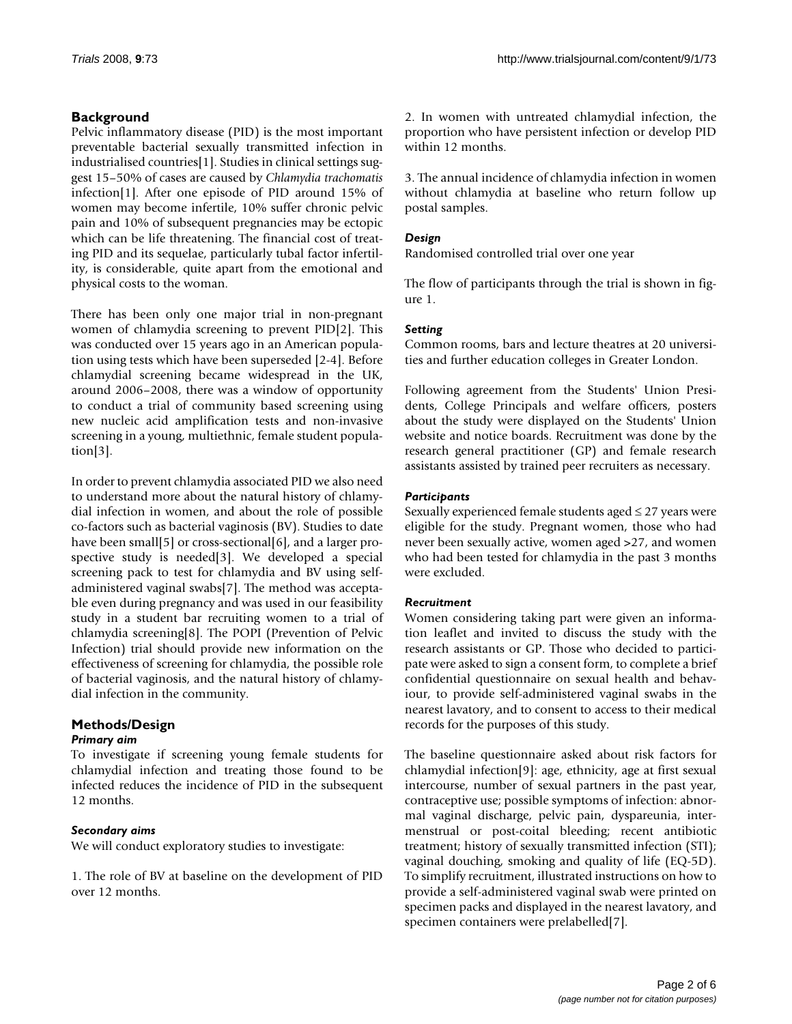# **Background**

Pelvic inflammatory disease (PID) is the most important preventable bacterial sexually transmitted infection in industrialised countries[1]. Studies in clinical settings suggest 15–50% of cases are caused by *Chlamydia trachomatis* infection[1]. After one episode of PID around 15% of women may become infertile, 10% suffer chronic pelvic pain and 10% of subsequent pregnancies may be ectopic which can be life threatening. The financial cost of treating PID and its sequelae, particularly tubal factor infertility, is considerable, quite apart from the emotional and physical costs to the woman.

There has been only one major trial in non-pregnant women of chlamydia screening to prevent PID[2]. This was conducted over 15 years ago in an American population using tests which have been superseded [2-4]. Before chlamydial screening became widespread in the UK, around 2006–2008, there was a window of opportunity to conduct a trial of community based screening using new nucleic acid amplification tests and non-invasive screening in a young, multiethnic, female student population[3].

In order to prevent chlamydia associated PID we also need to understand more about the natural history of chlamydial infection in women, and about the role of possible co-factors such as bacterial vaginosis (BV). Studies to date have been small[5] or cross-sectional[6], and a larger prospective study is needed[3]. We developed a special screening pack to test for chlamydia and BV using selfadministered vaginal swabs[7]. The method was acceptable even during pregnancy and was used in our feasibility study in a student bar recruiting women to a trial of chlamydia screening[8]. The POPI (Prevention of Pelvic Infection) trial should provide new information on the effectiveness of screening for chlamydia, the possible role of bacterial vaginosis, and the natural history of chlamydial infection in the community.

# **Methods/Design**

# *Primary aim*

To investigate if screening young female students for chlamydial infection and treating those found to be infected reduces the incidence of PID in the subsequent 12 months.

# *Secondary aims*

We will conduct exploratory studies to investigate:

1. The role of BV at baseline on the development of PID over 12 months.

2. In women with untreated chlamydial infection, the proportion who have persistent infection or develop PID within 12 months.

3. The annual incidence of chlamydia infection in women without chlamydia at baseline who return follow up postal samples.

# *Design*

Randomised controlled trial over one year

The flow of participants through the trial is shown in figure 1.

# *Setting*

Common rooms, bars and lecture theatres at 20 universities and further education colleges in Greater London.

Following agreement from the Students' Union Presidents, College Principals and welfare officers, posters about the study were displayed on the Students' Union website and notice boards. Recruitment was done by the research general practitioner (GP) and female research assistants assisted by trained peer recruiters as necessary.

### *Participants*

Sexually experienced female students aged ≤ 27 years were eligible for the study. Pregnant women, those who had never been sexually active, women aged >27, and women who had been tested for chlamydia in the past 3 months were excluded.

# *Recruitment*

Women considering taking part were given an information leaflet and invited to discuss the study with the research assistants or GP. Those who decided to participate were asked to sign a consent form, to complete a brief confidential questionnaire on sexual health and behaviour, to provide self-administered vaginal swabs in the nearest lavatory, and to consent to access to their medical records for the purposes of this study.

The baseline questionnaire asked about risk factors for chlamydial infection[9]: age, ethnicity, age at first sexual intercourse, number of sexual partners in the past year, contraceptive use; possible symptoms of infection: abnormal vaginal discharge, pelvic pain, dyspareunia, intermenstrual or post-coital bleeding; recent antibiotic treatment; history of sexually transmitted infection (STI); vaginal douching, smoking and quality of life (EQ-5D). To simplify recruitment, illustrated instructions on how to provide a self-administered vaginal swab were printed on specimen packs and displayed in the nearest lavatory, and specimen containers were prelabelled[7].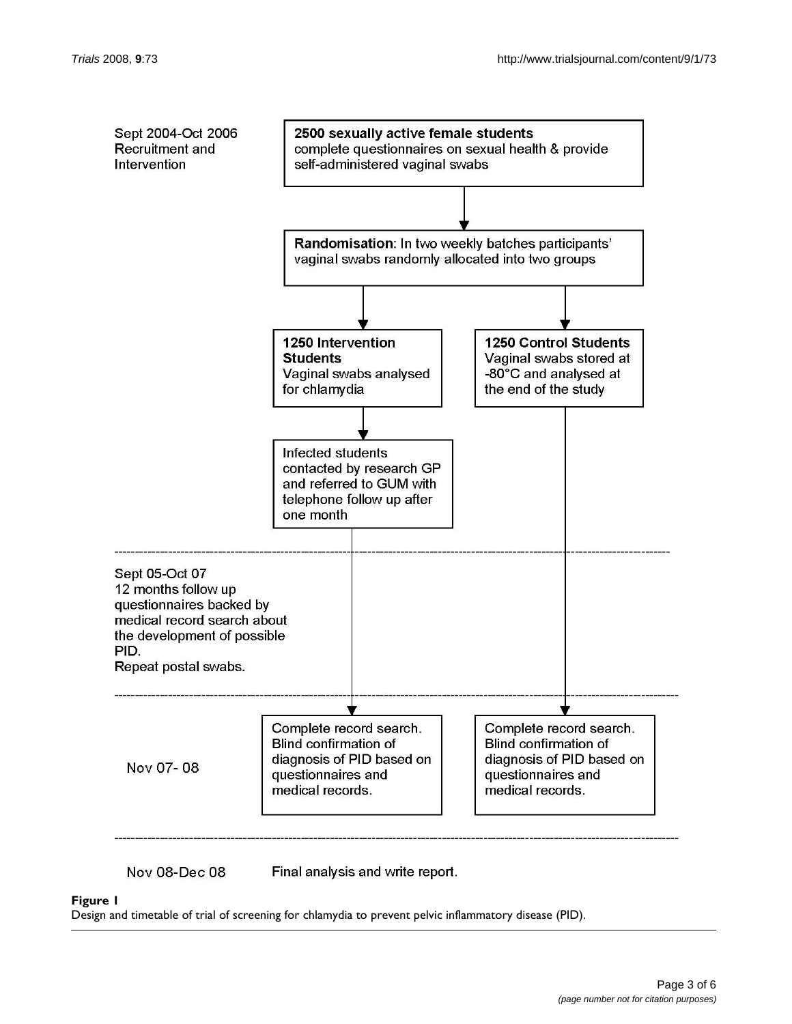

Nov 08-Dec 08 Final analysis and write report.

# **Figure 1** Design and timetable of trial of screening for chlamydia to prevent pelvic inflammatory disease (PID)

Design and timetable of trial of screening for chlamydia to prevent pelvic inflammatory disease (PID).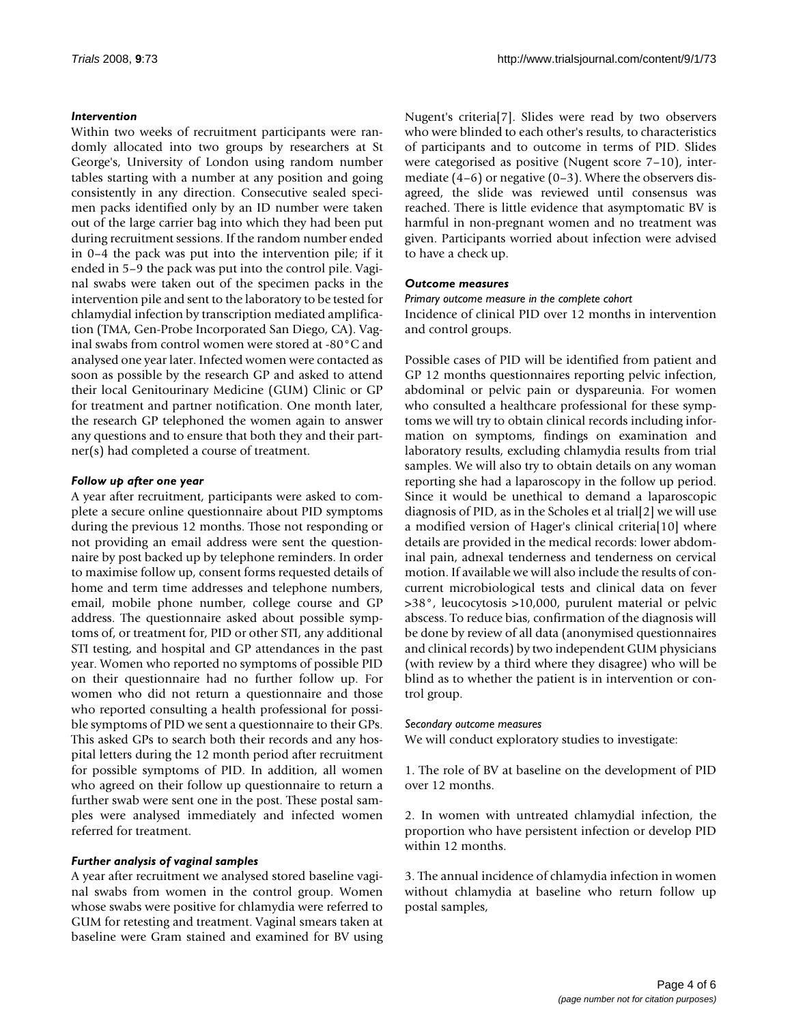#### *Intervention*

Within two weeks of recruitment participants were randomly allocated into two groups by researchers at St George's, University of London using random number tables starting with a number at any position and going consistently in any direction. Consecutive sealed specimen packs identified only by an ID number were taken out of the large carrier bag into which they had been put during recruitment sessions. If the random number ended in 0–4 the pack was put into the intervention pile; if it ended in 5–9 the pack was put into the control pile. Vaginal swabs were taken out of the specimen packs in the intervention pile and sent to the laboratory to be tested for chlamydial infection by transcription mediated amplification (TMA, Gen-Probe Incorporated San Diego, CA). Vaginal swabs from control women were stored at -80°C and analysed one year later. Infected women were contacted as soon as possible by the research GP and asked to attend their local Genitourinary Medicine (GUM) Clinic or GP for treatment and partner notification. One month later, the research GP telephoned the women again to answer any questions and to ensure that both they and their partner(s) had completed a course of treatment.

### *Follow up after one year*

A year after recruitment, participants were asked to complete a secure online questionnaire about PID symptoms during the previous 12 months. Those not responding or not providing an email address were sent the questionnaire by post backed up by telephone reminders. In order to maximise follow up, consent forms requested details of home and term time addresses and telephone numbers, email, mobile phone number, college course and GP address. The questionnaire asked about possible symptoms of, or treatment for, PID or other STI, any additional STI testing, and hospital and GP attendances in the past year. Women who reported no symptoms of possible PID on their questionnaire had no further follow up. For women who did not return a questionnaire and those who reported consulting a health professional for possible symptoms of PID we sent a questionnaire to their GPs. This asked GPs to search both their records and any hospital letters during the 12 month period after recruitment for possible symptoms of PID. In addition, all women who agreed on their follow up questionnaire to return a further swab were sent one in the post. These postal samples were analysed immediately and infected women referred for treatment.

#### *Further analysis of vaginal samples*

A year after recruitment we analysed stored baseline vaginal swabs from women in the control group. Women whose swabs were positive for chlamydia were referred to GUM for retesting and treatment. Vaginal smears taken at baseline were Gram stained and examined for BV using Nugent's criteria[7]. Slides were read by two observers who were blinded to each other's results, to characteristics of participants and to outcome in terms of PID. Slides were categorised as positive (Nugent score 7–10), intermediate (4–6) or negative (0–3). Where the observers disagreed, the slide was reviewed until consensus was reached. There is little evidence that asymptomatic BV is harmful in non-pregnant women and no treatment was given. Participants worried about infection were advised to have a check up.

### *Outcome measures*

#### *Primary outcome measure in the complete cohort*

Incidence of clinical PID over 12 months in intervention and control groups.

Possible cases of PID will be identified from patient and GP 12 months questionnaires reporting pelvic infection, abdominal or pelvic pain or dyspareunia. For women who consulted a healthcare professional for these symptoms we will try to obtain clinical records including information on symptoms, findings on examination and laboratory results, excluding chlamydia results from trial samples. We will also try to obtain details on any woman reporting she had a laparoscopy in the follow up period. Since it would be unethical to demand a laparoscopic diagnosis of PID, as in the Scholes et al trial[2] we will use a modified version of Hager's clinical criteria[10] where details are provided in the medical records: lower abdominal pain, adnexal tenderness and tenderness on cervical motion. If available we will also include the results of concurrent microbiological tests and clinical data on fever >38°, leucocytosis >10,000, purulent material or pelvic abscess. To reduce bias, confirmation of the diagnosis will be done by review of all data (anonymised questionnaires and clinical records) by two independent GUM physicians (with review by a third where they disagree) who will be blind as to whether the patient is in intervention or control group.

#### *Secondary outcome measures*

We will conduct exploratory studies to investigate:

1. The role of BV at baseline on the development of PID over 12 months.

2. In women with untreated chlamydial infection, the proportion who have persistent infection or develop PID within 12 months.

3. The annual incidence of chlamydia infection in women without chlamydia at baseline who return follow up postal samples,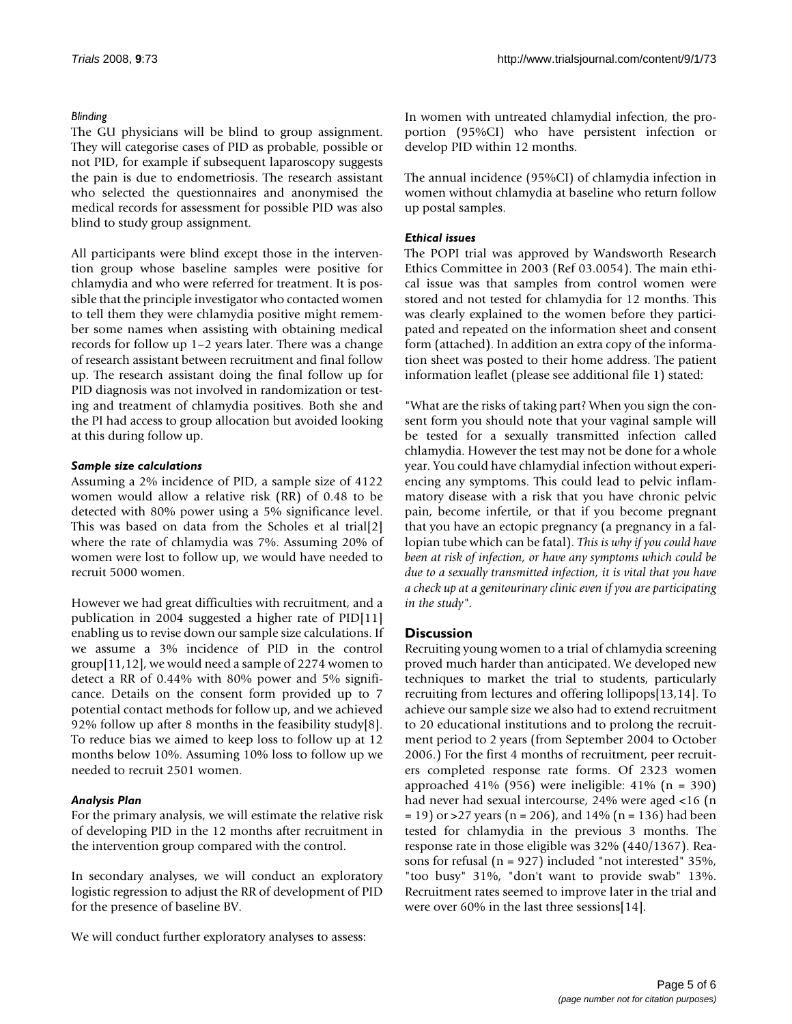### *Blinding*

The GU physicians will be blind to group assignment. They will categorise cases of PID as probable, possible or not PID, for example if subsequent laparoscopy suggests the pain is due to endometriosis. The research assistant who selected the questionnaires and anonymised the medical records for assessment for possible PID was also blind to study group assignment.

All participants were blind except those in the intervention group whose baseline samples were positive for chlamydia and who were referred for treatment. It is possible that the principle investigator who contacted women to tell them they were chlamydia positive might remember some names when assisting with obtaining medical records for follow up 1–2 years later. There was a change of research assistant between recruitment and final follow up. The research assistant doing the final follow up for PID diagnosis was not involved in randomization or testing and treatment of chlamydia positives. Both she and the PI had access to group allocation but avoided looking at this during follow up.

### *Sample size calculations*

Assuming a 2% incidence of PID, a sample size of 4122 women would allow a relative risk (RR) of 0.48 to be detected with 80% power using a 5% significance level. This was based on data from the Scholes et al trial[2] where the rate of chlamydia was 7%. Assuming 20% of women were lost to follow up, we would have needed to recruit 5000 women.

However we had great difficulties with recruitment, and a publication in 2004 suggested a higher rate of PID[11] enabling us to revise down our sample size calculations. If we assume a 3% incidence of PID in the control group[11,12], we would need a sample of 2274 women to detect a RR of 0.44% with 80% power and 5% significance. Details on the consent form provided up to 7 potential contact methods for follow up, and we achieved 92% follow up after 8 months in the feasibility study[8]. To reduce bias we aimed to keep loss to follow up at 12 months below 10%. Assuming 10% loss to follow up we needed to recruit 2501 women.

# *Analysis Plan*

For the primary analysis, we will estimate the relative risk of developing PID in the 12 months after recruitment in the intervention group compared with the control.

In secondary analyses, we will conduct an exploratory logistic regression to adjust the RR of development of PID for the presence of baseline BV.

We will conduct further exploratory analyses to assess:

In women with untreated chlamydial infection, the proportion (95%CI) who have persistent infection or develop PID within 12 months.

The annual incidence (95%CI) of chlamydia infection in women without chlamydia at baseline who return follow up postal samples.

# *Ethical issues*

The POPI trial was approved by Wandsworth Research Ethics Committee in 2003 (Ref 03.0054). The main ethical issue was that samples from control women were stored and not tested for chlamydia for 12 months. This was clearly explained to the women before they participated and repeated on the information sheet and consent form (attached). In addition an extra copy of the information sheet was posted to their home address. The patient information leaflet (please see additional file 1) stated:

"What are the risks of taking part? When you sign the consent form you should note that your vaginal sample will be tested for a sexually transmitted infection called chlamydia. However the test may not be done for a whole year. You could have chlamydial infection without experiencing any symptoms. This could lead to pelvic inflammatory disease with a risk that you have chronic pelvic pain, become infertile, or that if you become pregnant that you have an ectopic pregnancy (a pregnancy in a fallopian tube which can be fatal). *This is why if you could have been at risk of infection, or have any symptoms which could be due to a sexually transmitted infection, it is vital that you have a check up at a genitourinary clinic even if you are participating in the study"*.

# **Discussion**

Recruiting young women to a trial of chlamydia screening proved much harder than anticipated. We developed new techniques to market the trial to students, particularly recruiting from lectures and offering lollipops[13,14]. To achieve our sample size we also had to extend recruitment to 20 educational institutions and to prolong the recruitment period to 2 years (from September 2004 to October 2006.) For the first 4 months of recruitment, peer recruiters completed response rate forms. Of 2323 women approached 41% (956) were ineligible: 41% ( $n = 390$ ) had never had sexual intercourse, 24% were aged <16 (n  $= 19$ ) or >27 years (n = 206), and 14% (n = 136) had been tested for chlamydia in the previous 3 months. The response rate in those eligible was 32% (440/1367). Reasons for refusal (n = 927) included "not interested" 35%, "too busy" 31%, "don't want to provide swab" 13%. Recruitment rates seemed to improve later in the trial and were over 60% in the last three sessions[14].